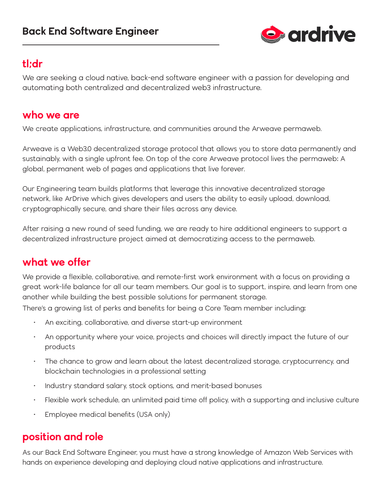

#### **tl;dr**

We are seeking a cloud native, back-end software engineer with a passion for developing and automating both centralized and decentralized web3 infrastructure.

#### **who we are**

We create applications, infrastructure, and communities around the Arweave permaweb.

Arweave is a Web3.0 decentralized storage protocol that allows you to store data permanently and sustainably, with a single upfront fee. On top of the core Arweave protocol lives the permaweb: A global, permanent web of pages and applications that live forever.

Our Engineering team builds platforms that leverage this innovative decentralized storage network, like ArDrive which gives developers and users the ability to easily upload, download, cryptographically secure, and share their files across any device.

After raising a new round of seed funding, we are ready to hire additional engineers to support a decentralized infrastructure project aimed at democratizing access to the permaweb.

# **what we offer**

We provide a flexible, collaborative, and remote-first work environment with a focus on providing a great work-life balance for all our team members. Our goal is to support, inspire, and learn from one another while building the best possible solutions for permanent storage.

There's a growing list of perks and benefits for being a Core Team member including:

- An exciting, collaborative, and diverse start-up environment
- An opportunity where your voice, projects and choices will directly impact the future of our products
- The chance to grow and learn about the latest decentralized storage, cryptocurrency, and blockchain technologies in a professional setting
- Industry standard salary, stock options, and merit-based bonuses
- Flexible work schedule, an unlimited paid time off policy, with a supporting and inclusive culture
- Employee medical benefits (USA only)

# **position and role**

As our Back End Software Engineer, you must have a strong knowledge of Amazon Web Services with hands on experience developing and deploying cloud native applications and infrastructure.